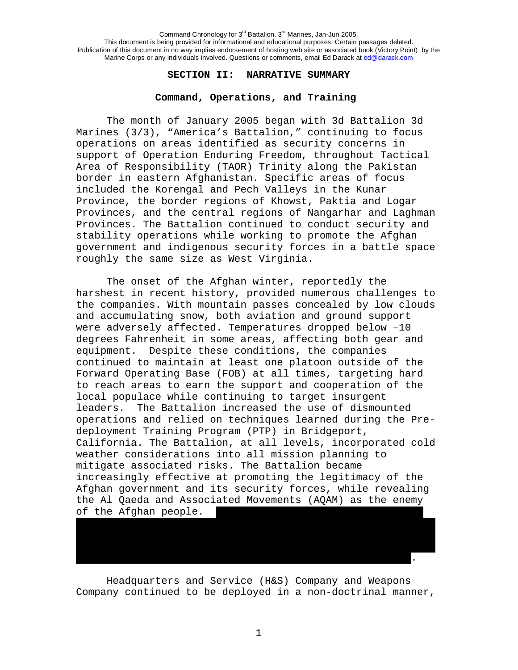### **SECTION II: NARRATIVE SUMMARY**

## **Command, Operations, and Training**

The month of January 2005 began with 3d Battalion 3d Marines (3/3), "America's Battalion," continuing to focus operations on areas identified as security concerns in support of Operation Enduring Freedom, throughout Tactical Area of Responsibility (TAOR) Trinity along the Pakistan border in eastern Afghanistan. Specific areas of focus included the Korengal and Pech Valleys in the Kunar Province, the border regions of Khowst, Paktia and Logar Provinces, and the central regions of Nangarhar and Laghman Provinces. The Battalion continued to conduct security and stability operations while working to promote the Afghan government and indigenous security forces in a battle space roughly the same size as West Virginia.

The onset of the Afghan winter, reportedly the harshest in recent history, provided numerous challenges to the companies. With mountain passes concealed by low clouds and accumulating snow, both aviation and ground support were adversely affected. Temperatures dropped below –10 degrees Fahrenheit in some areas, affecting both gear and equipment. Despite these conditions, the companies continued to maintain at least one platoon outside of the Forward Operating Base (FOB) at all times, targeting hard to reach areas to earn the support and cooperation of the local populace while continuing to target insurgent leaders. The Battalion increased the use of dismounted operations and relied on techniques learned during the Predeployment Training Program (PTP) in Bridgeport, California. The Battalion, at all levels, incorporated cold weather considerations into all mission planning to mitigate associated risks. The Battalion became increasingly effective at promoting the legitimacy of the Afghan government and its security forces, while revealing the Al Qaeda and Associated Movements (AQAM) as the enemy of the Afghan people.

Headquarters and Service (H&S) Company and Weapons Company continued to be deployed in a non-doctrinal manner,

………………………………………………………………………………………………………………………………………………..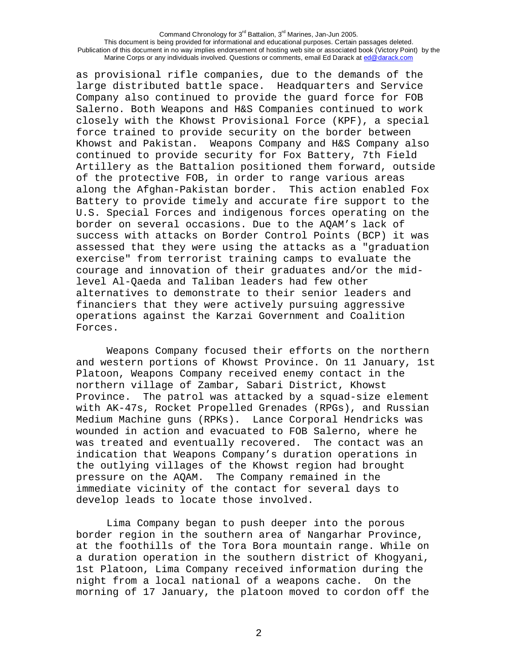as provisional rifle companies, due to the demands of the large distributed battle space. Headquarters and Service Company also continued to provide the guard force for FOB Salerno. Both Weapons and H&S Companies continued to work closely with the Khowst Provisional Force (KPF), a special force trained to provide security on the border between Khowst and Pakistan. Weapons Company and H&S Company also continued to provide security for Fox Battery, 7th Field Artillery as the Battalion positioned them forward, outside of the protective FOB, in order to range various areas along the Afghan-Pakistan border. This action enabled Fox Battery to provide timely and accurate fire support to the U.S. Special Forces and indigenous forces operating on the border on several occasions. Due to the AQAM's lack of success with attacks on Border Control Points (BCP) it was assessed that they were using the attacks as a "graduation exercise" from terrorist training camps to evaluate the courage and innovation of their graduates and/or the midlevel Al-Qaeda and Taliban leaders had few other alternatives to demonstrate to their senior leaders and financiers that they were actively pursuing aggressive operations against the Karzai Government and Coalition Forces.

Weapons Company focused their efforts on the northern and western portions of Khowst Province. On 11 January, 1st Platoon, Weapons Company received enemy contact in the northern village of Zambar, Sabari District, Khowst Province. The patrol was attacked by a squad-size element with AK-47s, Rocket Propelled Grenades (RPGs), and Russian Medium Machine guns (RPKs). Lance Corporal Hendricks was wounded in action and evacuated to FOB Salerno, where he was treated and eventually recovered. The contact was an indication that Weapons Company's duration operations in the outlying villages of the Khowst region had brought pressure on the AQAM. The Company remained in the immediate vicinity of the contact for several days to develop leads to locate those involved.

Lima Company began to push deeper into the porous border region in the southern area of Nangarhar Province, at the foothills of the Tora Bora mountain range. While on a duration operation in the southern district of Khogyani, 1st Platoon, Lima Company received information during the night from a local national of a weapons cache. On the morning of 17 January, the platoon moved to cordon off the

2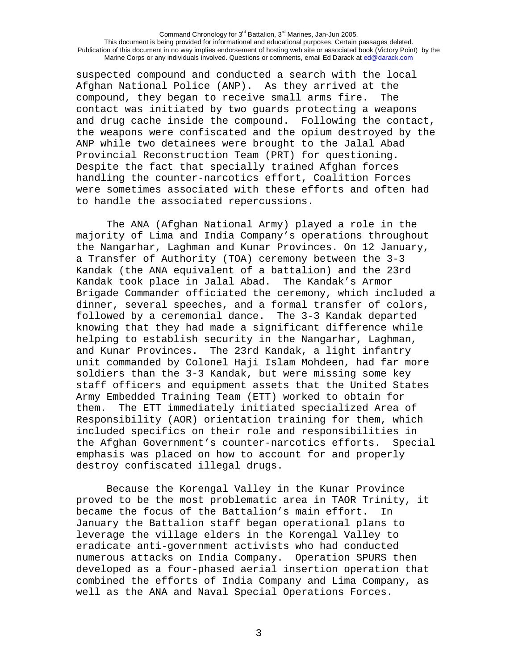suspected compound and conducted a search with the local Afghan National Police (ANP). As they arrived at the compound, they began to receive small arms fire. The contact was initiated by two guards protecting a weapons and drug cache inside the compound. Following the contact, the weapons were confiscated and the opium destroyed by the ANP while two detainees were brought to the Jalal Abad Provincial Reconstruction Team (PRT) for questioning. Despite the fact that specially trained Afghan forces handling the counter-narcotics effort, Coalition Forces were sometimes associated with these efforts and often had to handle the associated repercussions.

The ANA (Afghan National Army) played a role in the majority of Lima and India Company's operations throughout the Nangarhar, Laghman and Kunar Provinces. On 12 January, a Transfer of Authority (TOA) ceremony between the 3-3 Kandak (the ANA equivalent of a battalion) and the 23rd Kandak took place in Jalal Abad. The Kandak's Armor Brigade Commander officiated the ceremony, which included a dinner, several speeches, and a formal transfer of colors, followed by a ceremonial dance. The 3-3 Kandak departed knowing that they had made a significant difference while helping to establish security in the Nangarhar, Laghman, and Kunar Provinces. The 23rd Kandak, a light infantry unit commanded by Colonel Haji Islam Mohdeen, had far more soldiers than the 3-3 Kandak, but were missing some key staff officers and equipment assets that the United States Army Embedded Training Team (ETT) worked to obtain for them. The ETT immediately initiated specialized Area of Responsibility (AOR) orientation training for them, which included specifics on their role and responsibilities in the Afghan Government's counter-narcotics efforts. Special emphasis was placed on how to account for and properly destroy confiscated illegal drugs.

Because the Korengal Valley in the Kunar Province proved to be the most problematic area in TAOR Trinity, it became the focus of the Battalion's main effort. In January the Battalion staff began operational plans to leverage the village elders in the Korengal Valley to eradicate anti-government activists who had conducted numerous attacks on India Company. Operation SPURS then developed as a four-phased aerial insertion operation that combined the efforts of India Company and Lima Company, as well as the ANA and Naval Special Operations Forces.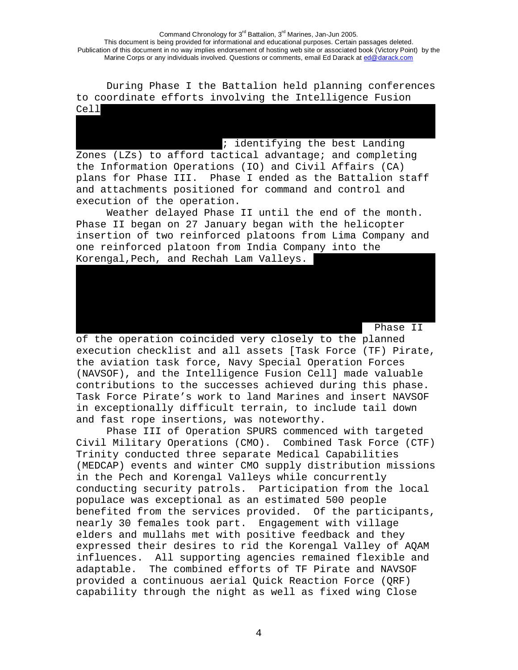During Phase I the Battalion held planning conferences to coordinate efforts involving the Intelligence Fusion Cell…………………………………………………………………………………………………………………………………………………

: identifying the best Landing Zones (LZs) to afford tactical advantage; and completing the Information Operations (IO) and Civil Affairs (CA) plans for Phase III. Phase I ended as the Battalion staff and attachments positioned for command and control and execution of the operation.

Weather delayed Phase II until the end of the month. Phase II began on 27 January began with the helicopter insertion of two reinforced platoons from Lima Company and one reinforced platoon from India Company into the Korengal,Pech, and Rechah Lam Valleys.

Phase II

of the operation coincided very closely to the planned execution checklist and all assets [Task Force (TF) Pirate, the aviation task force, Navy Special Operation Forces (NAVSOF), and the Intelligence Fusion Cell] made valuable contributions to the successes achieved during this phase. Task Force Pirate's work to land Marines and insert NAVSOF in exceptionally difficult terrain, to include tail down and fast rope insertions, was noteworthy.

Phase III of Operation SPURS commenced with targeted Civil Military Operations (CMO). Combined Task Force (CTF) Trinity conducted three separate Medical Capabilities (MEDCAP) events and winter CMO supply distribution missions in the Pech and Korengal Valleys while concurrently conducting security patrols. Participation from the local populace was exceptional as an estimated 500 people benefited from the services provided. Of the participants, nearly 30 females took part. Engagement with village elders and mullahs met with positive feedback and they expressed their desires to rid the Korengal Valley of AQAM influences. All supporting agencies remained flexible and adaptable. The combined efforts of TF Pirate and NAVSOF provided a continuous aerial Quick Reaction Force (QRF) capability through the night as well as fixed wing Close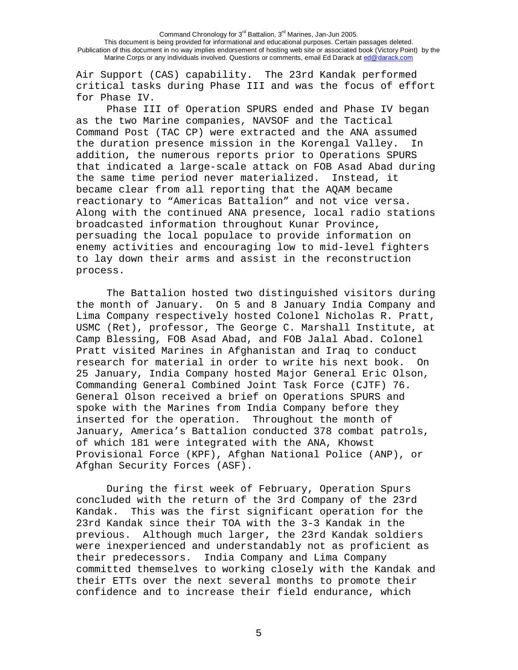Air Support (CAS) capability. The 23rd Kandak performed critical tasks during Phase III and was the focus of effort for Phase IV.

Phase III of Operation SPURS ended and Phase IV began as the two Marine companies, NAVSOF and the Tactical Command Post (TAC CP) were extracted and the ANA assumed the duration presence mission in the Korengal Valley. In addition, the numerous reports prior to Operations SPURS that indicated a large-scale attack on FOB Asad Abad during the same time period never materialized. Instead, it became clear from all reporting that the AQAM became reactionary to "Americas Battalion" and not vice versa. Along with the continued ANA presence, local radio stations broadcasted information throughout Kunar Province, persuading the local populace to provide information on enemy activities and encouraging low to mid-level fighters to lay down their arms and assist in the reconstruction process.

 The Battalion hosted two distinguished visitors during the month of January. On 5 and 8 January India Company and Lima Company respectively hosted Colonel Nicholas R. Pratt, USMC (Ret), professor, The George C. Marshall Institute, at Camp Blessing, FOB Asad Abad, and FOB Jalal Abad. Colonel Pratt visited Marines in Afghanistan and Iraq to conduct research for material in order to write his next book. On 25 January, India Company hosted Major General Eric Olson, Commanding General Combined Joint Task Force (CJTF) 76. General Olson received a brief on Operations SPURS and spoke with the Marines from India Company before they inserted for the operation. Throughout the month of January, America's Battalion conducted 378 combat patrols, of which 181 were integrated with the ANA, Khowst Provisional Force (KPF), Afghan National Police (ANP), or Afghan Security Forces (ASF).

During the first week of February, Operation Spurs concluded with the return of the 3rd Company of the 23rd Kandak. This was the first significant operation for the 23rd Kandak since their TOA with the 3-3 Kandak in the previous. Although much larger, the 23rd Kandak soldiers were inexperienced and understandably not as proficient as their predecessors. India Company and Lima Company committed themselves to working closely with the Kandak and their ETTs over the next several months to promote their confidence and to increase their field endurance, which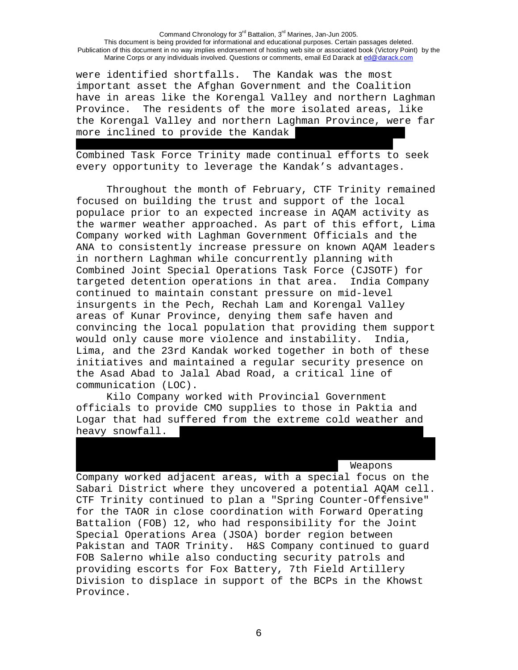were identified shortfalls. The Kandak was the most important asset the Afghan Government and the Coalition have in areas like the Korengal Valley and northern Laghman Province. The residents of the more isolated areas, like the Korengal Valley and northern Laghman Province, were far more inclined to provide the Kandak

Combined Task Force Trinity made continual efforts to seek every opportunity to leverage the Kandak's advantages.

…………………………………………………………………………………………………………………………………...

 Throughout the month of February, CTF Trinity remained focused on building the trust and support of the local populace prior to an expected increase in AQAM activity as the warmer weather approached. As part of this effort, Lima Company worked with Laghman Government Officials and the ANA to consistently increase pressure on known AQAM leaders in northern Laghman while concurrently planning with Combined Joint Special Operations Task Force (CJSOTF) for targeted detention operations in that area. India Company continued to maintain constant pressure on mid-level insurgents in the Pech, Rechah Lam and Korengal Valley areas of Kunar Province, denying them safe haven and convincing the local population that providing them support would only cause more violence and instability. India, Lima, and the 23rd Kandak worked together in both of these initiatives and maintained a regular security presence on the Asad Abad to Jalal Abad Road, a critical line of communication (LOC).

Kilo Company worked with Provincial Government officials to provide CMO supplies to those in Paktia and Logar that had suffered from the extreme cold weather and heavy snowfall.

### Weapons

Company worked adjacent areas, with a special focus on the Sabari District where they uncovered a potential AQAM cell. CTF Trinity continued to plan a "Spring Counter-Offensive" for the TAOR in close coordination with Forward Operating Battalion (FOB) 12, who had responsibility for the Joint Special Operations Area (JSOA) border region between Pakistan and TAOR Trinity. H&S Company continued to guard FOB Salerno while also conducting security patrols and providing escorts for Fox Battery, 7th Field Artillery Division to displace in support of the BCPs in the Khowst Province.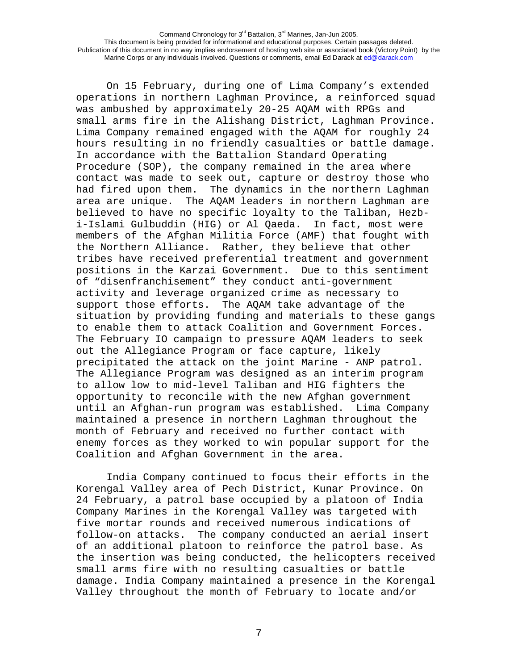On 15 February, during one of Lima Company's extended operations in northern Laghman Province, a reinforced squad was ambushed by approximately 20-25 AQAM with RPGs and small arms fire in the Alishang District, Laghman Province. Lima Company remained engaged with the AQAM for roughly 24 hours resulting in no friendly casualties or battle damage. In accordance with the Battalion Standard Operating Procedure (SOP), the company remained in the area where contact was made to seek out, capture or destroy those who had fired upon them. The dynamics in the northern Laghman area are unique. The AQAM leaders in northern Laghman are believed to have no specific loyalty to the Taliban, Hezbi-Islami Gulbuddin (HIG) or Al Qaeda. In fact, most were members of the Afghan Militia Force (AMF) that fought with the Northern Alliance. Rather, they believe that other tribes have received preferential treatment and government positions in the Karzai Government. Due to this sentiment of "disenfranchisement" they conduct anti-government activity and leverage organized crime as necessary to support those efforts. The AQAM take advantage of the situation by providing funding and materials to these gangs to enable them to attack Coalition and Government Forces. The February IO campaign to pressure AQAM leaders to seek out the Allegiance Program or face capture, likely precipitated the attack on the joint Marine - ANP patrol. The Allegiance Program was designed as an interim program to allow low to mid-level Taliban and HIG fighters the opportunity to reconcile with the new Afghan government until an Afghan-run program was established. Lima Company maintained a presence in northern Laghman throughout the month of February and received no further contact with enemy forces as they worked to win popular support for the Coalition and Afghan Government in the area.

India Company continued to focus their efforts in the Korengal Valley area of Pech District, Kunar Province. On 24 February, a patrol base occupied by a platoon of India Company Marines in the Korengal Valley was targeted with five mortar rounds and received numerous indications of follow-on attacks. The company conducted an aerial insert of an additional platoon to reinforce the patrol base. As the insertion was being conducted, the helicopters received small arms fire with no resulting casualties or battle damage. India Company maintained a presence in the Korengal Valley throughout the month of February to locate and/or

7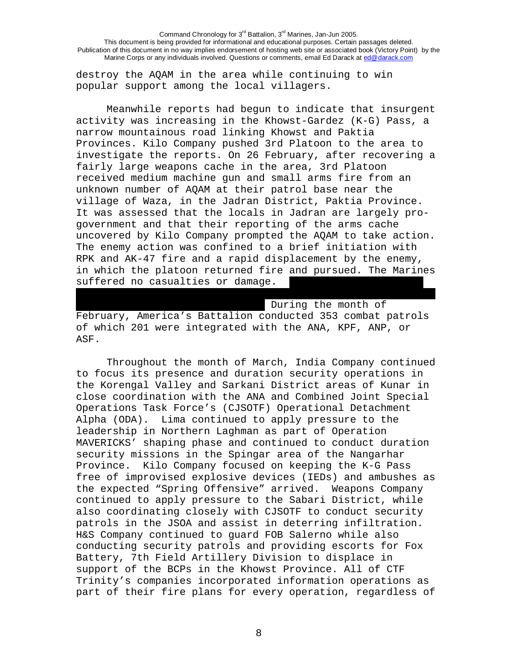destroy the AQAM in the area while continuing to win popular support among the local villagers.

Meanwhile reports had begun to indicate that insurgent activity was increasing in the Khowst-Gardez (K-G) Pass, a narrow mountainous road linking Khowst and Paktia Provinces. Kilo Company pushed 3rd Platoon to the area to investigate the reports. On 26 February, after recovering a fairly large weapons cache in the area, 3rd Platoon received medium machine gun and small arms fire from an unknown number of AQAM at their patrol base near the village of Waza, in the Jadran District, Paktia Province. It was assessed that the locals in Jadran are largely progovernment and that their reporting of the arms cache uncovered by Kilo Company prompted the AQAM to take action. The enemy action was confined to a brief initiation with RPK and AK-47 fire and a rapid displacement by the enemy, in which the platoon returned fire and pursued. The Marines suffered no casualties or damage.

During the month of February, America's Battalion conducted 353 combat patrols of which 201 were integrated with the ANA, KPF, ANP, or ASF.

 Throughout the month of March, India Company continued to focus its presence and duration security operations in the Korengal Valley and Sarkani District areas of Kunar in close coordination with the ANA and Combined Joint Special Operations Task Force's (CJSOTF) Operational Detachment Alpha (ODA). Lima continued to apply pressure to the leadership in Northern Laghman as part of Operation MAVERICKS' shaping phase and continued to conduct duration security missions in the Spingar area of the Nangarhar Province. Kilo Company focused on keeping the K-G Pass free of improvised explosive devices (IEDs) and ambushes as the expected "Spring Offensive" arrived. Weapons Company continued to apply pressure to the Sabari District, while also coordinating closely with CJSOTF to conduct security patrols in the JSOA and assist in deterring infiltration. H&S Company continued to guard FOB Salerno while also conducting security patrols and providing escorts for Fox Battery, 7th Field Artillery Division to displace in support of the BCPs in the Khowst Province. All of CTF Trinity's companies incorporated information operations as part of their fire plans for every operation, regardless of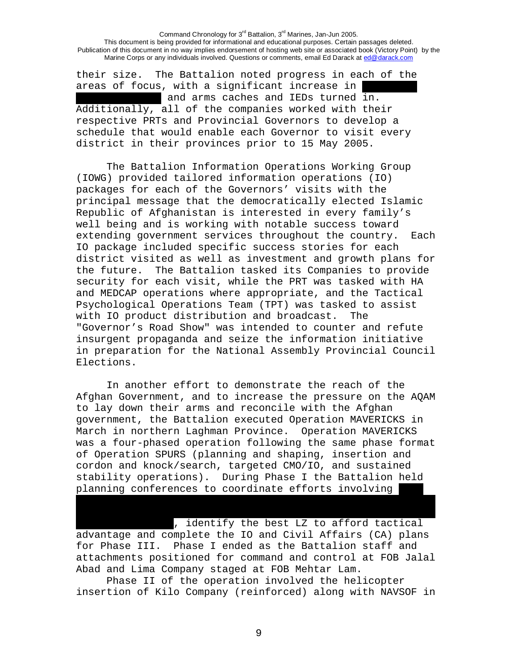their size. The Battalion noted progress in each of the areas of focus, with a significant increase in and arms caches and IEDs turned in. Additionally, all of the companies worked with their respective PRTs and Provincial Governors to develop a schedule that would enable each Governor to visit every district in their provinces prior to 15 May 2005.

The Battalion Information Operations Working Group (IOWG) provided tailored information operations (IO) packages for each of the Governors' visits with the principal message that the democratically elected Islamic Republic of Afghanistan is interested in every family's well being and is working with notable success toward extending government services throughout the country. Each IO package included specific success stories for each district visited as well as investment and growth plans for the future. The Battalion tasked its Companies to provide security for each visit, while the PRT was tasked with HA and MEDCAP operations where appropriate, and the Tactical Psychological Operations Team (TPT) was tasked to assist with IO product distribution and broadcast. The "Governor's Road Show" was intended to counter and refute insurgent propaganda and seize the information initiative in preparation for the National Assembly Provincial Council Elections.

In another effort to demonstrate the reach of the Afghan Government, and to increase the pressure on the AQAM to lay down their arms and reconcile with the Afghan government, the Battalion executed Operation MAVERICKS in March in northern Laghman Province. Operation MAVERICKS was a four-phased operation following the same phase format of Operation SPURS (planning and shaping, insertion and cordon and knock/search, targeted CMO/IO, and sustained stability operations). During Phase I the Battalion held planning conferences to coordinate efforts involving

 $\sqrt{a}$ , identify the best LZ to afford tactical advantage and complete the IO and Civil Affairs (CA) plans for Phase III. Phase I ended as the Battalion staff and attachments positioned for command and control at FOB Jalal Abad and Lima Company staged at FOB Mehtar Lam.

Phase II of the operation involved the helicopter insertion of Kilo Company (reinforced) along with NAVSOF in

9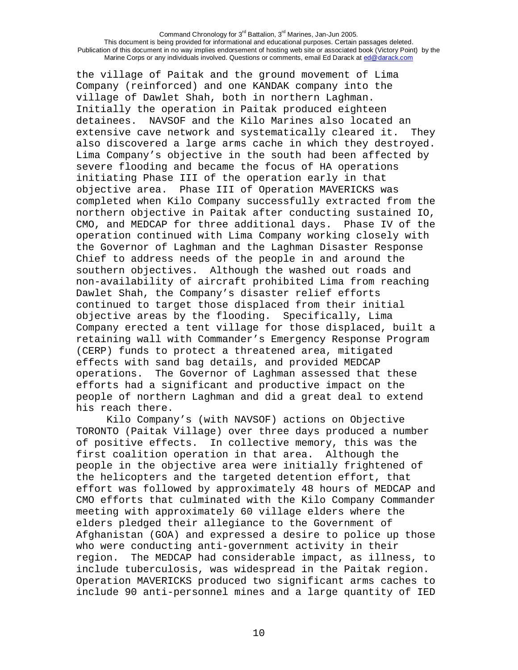the village of Paitak and the ground movement of Lima Company (reinforced) and one KANDAK company into the village of Dawlet Shah, both in northern Laghman. Initially the operation in Paitak produced eighteen detainees. NAVSOF and the Kilo Marines also located an extensive cave network and systematically cleared it. They also discovered a large arms cache in which they destroyed. Lima Company's objective in the south had been affected by severe flooding and became the focus of HA operations initiating Phase III of the operation early in that objective area. Phase III of Operation MAVERICKS was completed when Kilo Company successfully extracted from the northern objective in Paitak after conducting sustained IO, CMO, and MEDCAP for three additional days. Phase IV of the operation continued with Lima Company working closely with the Governor of Laghman and the Laghman Disaster Response Chief to address needs of the people in and around the southern objectives. Although the washed out roads and non-availability of aircraft prohibited Lima from reaching Dawlet Shah, the Company's disaster relief efforts continued to target those displaced from their initial objective areas by the flooding. Specifically, Lima Company erected a tent village for those displaced, built a retaining wall with Commander's Emergency Response Program (CERP) funds to protect a threatened area, mitigated effects with sand bag details, and provided MEDCAP operations. The Governor of Laghman assessed that these efforts had a significant and productive impact on the people of northern Laghman and did a great deal to extend his reach there.

Kilo Company's (with NAVSOF) actions on Objective TORONTO (Paitak Village) over three days produced a number of positive effects. In collective memory, this was the first coalition operation in that area. Although the people in the objective area were initially frightened of the helicopters and the targeted detention effort, that effort was followed by approximately 48 hours of MEDCAP and CMO efforts that culminated with the Kilo Company Commander meeting with approximately 60 village elders where the elders pledged their allegiance to the Government of Afghanistan (GOA) and expressed a desire to police up those who were conducting anti-government activity in their region. The MEDCAP had considerable impact, as illness, to include tuberculosis, was widespread in the Paitak region. Operation MAVERICKS produced two significant arms caches to include 90 anti-personnel mines and a large quantity of IED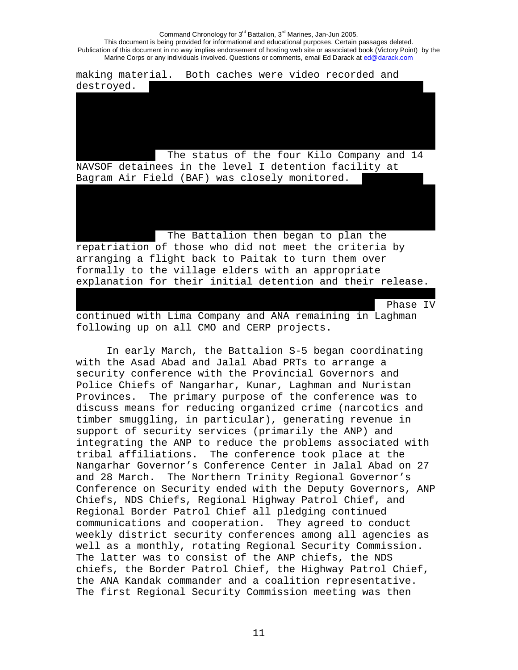making material. Both caches were video recorded and destroyed. The status of the four Kilo Company and 14 NAVSOF detainees in the level I detention facility at Bagram Air Field (BAF) was closely monitored. The Battalion then began to plan the repatriation of those who did not meet the criteria by arranging a flight back to Paitak to turn them over formally to the village elders with an appropriate explanation for their initial detention and their release. Phase IV

continued with Lima Company and ANA remaining in Laghman following up on all CMO and CERP projects.

In early March, the Battalion S-5 began coordinating with the Asad Abad and Jalal Abad PRTs to arrange a security conference with the Provincial Governors and Police Chiefs of Nangarhar, Kunar, Laghman and Nuristan Provinces. The primary purpose of the conference was to discuss means for reducing organized crime (narcotics and timber smuggling, in particular), generating revenue in support of security services (primarily the ANP) and integrating the ANP to reduce the problems associated with tribal affiliations. The conference took place at the Nangarhar Governor's Conference Center in Jalal Abad on 27 and 28 March. The Northern Trinity Regional Governor's Conference on Security ended with the Deputy Governors, ANP Chiefs, NDS Chiefs, Regional Highway Patrol Chief, and Regional Border Patrol Chief all pledging continued communications and cooperation. They agreed to conduct weekly district security conferences among all agencies as well as a monthly, rotating Regional Security Commission. The latter was to consist of the ANP chiefs, the NDS chiefs, the Border Patrol Chief, the Highway Patrol Chief, the ANA Kandak commander and a coalition representative. The first Regional Security Commission meeting was then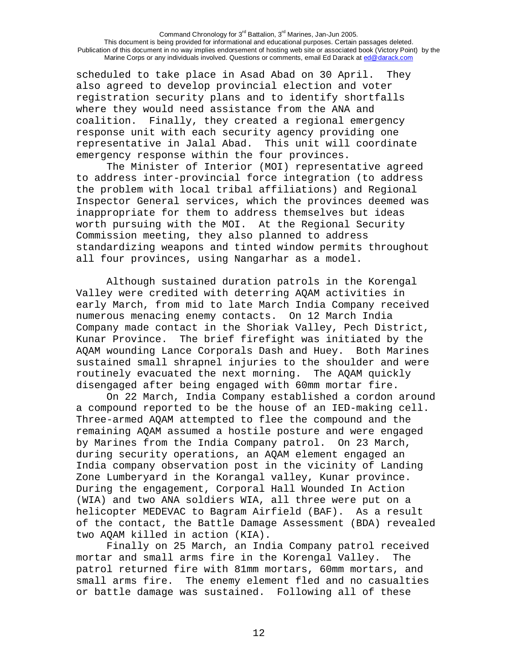scheduled to take place in Asad Abad on 30 April. They also agreed to develop provincial election and voter registration security plans and to identify shortfalls where they would need assistance from the ANA and coalition. Finally, they created a regional emergency response unit with each security agency providing one representative in Jalal Abad. This unit will coordinate emergency response within the four provinces.

The Minister of Interior (MOI) representative agreed to address inter-provincial force integration (to address the problem with local tribal affiliations) and Regional Inspector General services, which the provinces deemed was inappropriate for them to address themselves but ideas worth pursuing with the MOI. At the Regional Security Commission meeting, they also planned to address standardizing weapons and tinted window permits throughout all four provinces, using Nangarhar as a model.

 Although sustained duration patrols in the Korengal Valley were credited with deterring AQAM activities in early March, from mid to late March India Company received numerous menacing enemy contacts. On 12 March India Company made contact in the Shoriak Valley, Pech District, Kunar Province. The brief firefight was initiated by the AQAM wounding Lance Corporals Dash and Huey. Both Marines sustained small shrapnel injuries to the shoulder and were routinely evacuated the next morning. The AQAM quickly disengaged after being engaged with 60mm mortar fire.

On 22 March, India Company established a cordon around a compound reported to be the house of an IED-making cell. Three-armed AQAM attempted to flee the compound and the remaining AQAM assumed a hostile posture and were engaged by Marines from the India Company patrol. On 23 March, during security operations, an AQAM element engaged an India company observation post in the vicinity of Landing Zone Lumberyard in the Korangal valley, Kunar province. During the engagement, Corporal Hall Wounded In Action (WIA) and two ANA soldiers WIA, all three were put on a helicopter MEDEVAC to Bagram Airfield (BAF). As a result of the contact, the Battle Damage Assessment (BDA) revealed two AQAM killed in action (KIA).

Finally on 25 March, an India Company patrol received mortar and small arms fire in the Korengal Valley. The patrol returned fire with 81mm mortars, 60mm mortars, and small arms fire. The enemy element fled and no casualties or battle damage was sustained. Following all of these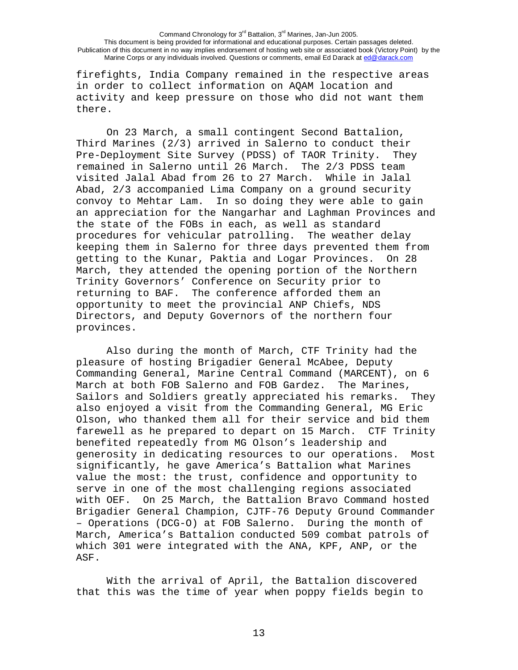firefights, India Company remained in the respective areas in order to collect information on AQAM location and activity and keep pressure on those who did not want them there.

On 23 March, a small contingent Second Battalion, Third Marines (2/3) arrived in Salerno to conduct their Pre-Deployment Site Survey (PDSS) of TAOR Trinity. They remained in Salerno until 26 March. The 2/3 PDSS team visited Jalal Abad from 26 to 27 March. While in Jalal Abad, 2/3 accompanied Lima Company on a ground security convoy to Mehtar Lam. In so doing they were able to gain an appreciation for the Nangarhar and Laghman Provinces and the state of the FOBs in each, as well as standard procedures for vehicular patrolling. The weather delay keeping them in Salerno for three days prevented them from getting to the Kunar, Paktia and Logar Provinces. On 28 March, they attended the opening portion of the Northern Trinity Governors' Conference on Security prior to returning to BAF. The conference afforded them an opportunity to meet the provincial ANP Chiefs, NDS Directors, and Deputy Governors of the northern four provinces.

 Also during the month of March, CTF Trinity had the pleasure of hosting Brigadier General McAbee, Deputy Commanding General, Marine Central Command (MARCENT), on 6 March at both FOB Salerno and FOB Gardez. The Marines, Sailors and Soldiers greatly appreciated his remarks. They also enjoyed a visit from the Commanding General, MG Eric Olson, who thanked them all for their service and bid them farewell as he prepared to depart on 15 March. CTF Trinity benefited repeatedly from MG Olson's leadership and generosity in dedicating resources to our operations. Most significantly, he gave America's Battalion what Marines value the most: the trust, confidence and opportunity to serve in one of the most challenging regions associated with OEF. On 25 March, the Battalion Bravo Command hosted Brigadier General Champion, CJTF-76 Deputy Ground Commander – Operations (DCG-O) at FOB Salerno. During the month of March, America's Battalion conducted 509 combat patrols of which 301 were integrated with the ANA, KPF, ANP, or the ASF.

With the arrival of April, the Battalion discovered that this was the time of year when poppy fields begin to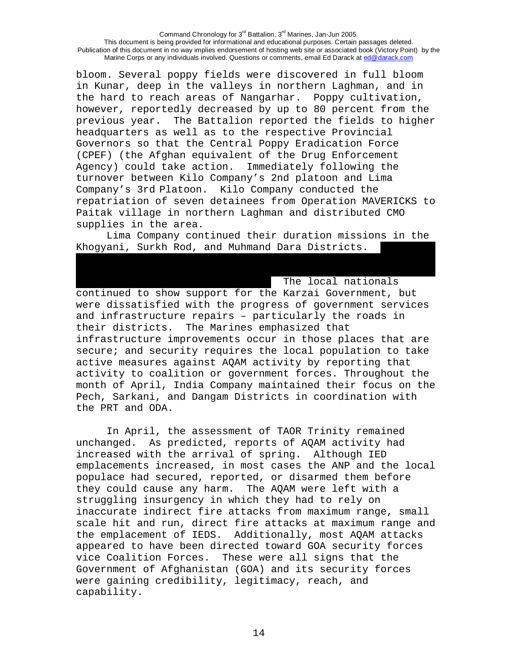bloom. Several poppy fields were discovered in full bloom in Kunar, deep in the valleys in northern Laghman, and in the hard to reach areas of Nangarhar. Poppy cultivation, however, reportedly decreased by up to 80 percent from the previous year. The Battalion reported the fields to higher headquarters as well as to the respective Provincial Governors so that the Central Poppy Eradication Force (CPEF) (the Afghan equivalent of the Drug Enforcement Agency) could take action. Immediately following the turnover between Kilo Company's 2nd platoon and Lima Company's 3rd Platoon. Kilo Company conducted the repatriation of seven detainees from Operation MAVERICKS to Paitak village in northern Laghman and distributed CMO supplies in the area.

Lima Company continued their duration missions in the Khogyani, Surkh Rod, and Muhmand Dara Districts.

The local nationals continued to show support for the Karzai Government, but were dissatisfied with the progress of government services and infrastructure repairs – particularly the roads in their districts. The Marines emphasized that infrastructure improvements occur in those places that are secure; and security requires the local population to take active measures against AQAM activity by reporting that activity to coalition or government forces. Throughout the month of April, India Company maintained their focus on the Pech, Sarkani, and Dangam Districts in coordination with the PRT and ODA.

 In April, the assessment of TAOR Trinity remained unchanged. As predicted, reports of AQAM activity had increased with the arrival of spring. Although IED emplacements increased, in most cases the ANP and the local populace had secured, reported, or disarmed them before they could cause any harm. The AQAM were left with a struggling insurgency in which they had to rely on inaccurate indirect fire attacks from maximum range, small scale hit and run, direct fire attacks at maximum range and the emplacement of IEDS. Additionally, most AQAM attacks appeared to have been directed toward GOA security forces vice Coalition Forces. These were all signs that the Government of Afghanistan (GOA) and its security forces were gaining credibility, legitimacy, reach, and capability.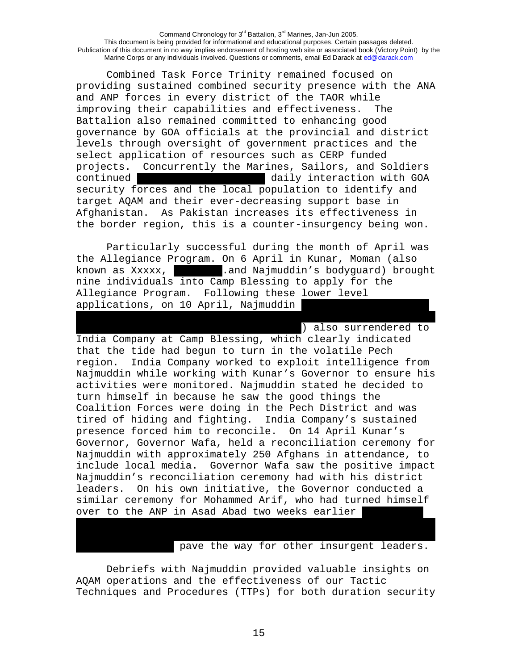Combined Task Force Trinity remained focused on providing sustained combined security presence with the ANA and ANP forces in every district of the TAOR while improving their capabilities and effectiveness. The Battalion also remained committed to enhancing good governance by GOA officials at the provincial and district levels through oversight of government practices and the select application of resources such as CERP funded projects. Concurrently the Marines, Sailors, and Soldiers continued **EXECUTE:** The continued and daily interaction with GOA security forces and the local population to identify and target AQAM and their ever-decreasing support base in Afghanistan. As Pakistan increases its effectiveness in the border region, this is a counter-insurgency being won.

 Particularly successful during the month of April was the Allegiance Program. On 6 April in Kunar, Moman (also known as Xxxxx, …………………..and Najmuddin's bodyguard) brought nine individuals into Camp Blessing to apply for the Allegiance Program. Following these lower level applications, on 10 April, Najmuddin

) also surrendered to India Company at Camp Blessing, which clearly indicated that the tide had begun to turn in the volatile Pech region. India Company worked to exploit intelligence from Najmuddin while working with Kunar's Governor to ensure his activities were monitored. Najmuddin stated he decided to turn himself in because he saw the good things the Coalition Forces were doing in the Pech District and was tired of hiding and fighting. India Company's sustained presence forced him to reconcile. On 14 April Kunar's Governor, Governor Wafa, held a reconciliation ceremony for Najmuddin with approximately 250 Afghans in attendance, to include local media. Governor Wafa saw the positive impact Najmuddin's reconciliation ceremony had with his district leaders. On his own initiative, the Governor conducted a similar ceremony for Mohammed Arif, who had turned himself over to the ANP in Asad Abad two weeks earlier

pave the way for other insurgent leaders.

Debriefs with Najmuddin provided valuable insights on AQAM operations and the effectiveness of our Tactic Techniques and Procedures (TTPs) for both duration security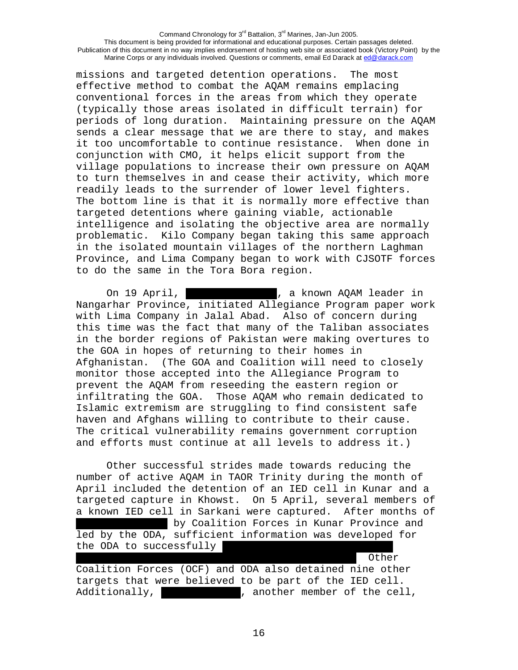missions and targeted detention operations. The most effective method to combat the AQAM remains emplacing conventional forces in the areas from which they operate (typically those areas isolated in difficult terrain) for periods of long duration. Maintaining pressure on the AQAM sends a clear message that we are there to stay, and makes it too uncomfortable to continue resistance. When done in conjunction with CMO, it helps elicit support from the village populations to increase their own pressure on AQAM to turn themselves in and cease their activity, which more readily leads to the surrender of lower level fighters. The bottom line is that it is normally more effective than targeted detentions where gaining viable, actionable intelligence and isolating the objective area are normally problematic. Kilo Company began taking this same approach in the isolated mountain villages of the northern Laghman Province, and Lima Company began to work with CJSOTF forces to do the same in the Tora Bora region.

On 19 April, **with the contract of the Contract Contract** in  $\alpha$  a known AQAM leader in Nangarhar Province, initiated Allegiance Program paper work with Lima Company in Jalal Abad. Also of concern during this time was the fact that many of the Taliban associates in the border regions of Pakistan were making overtures to the GOA in hopes of returning to their homes in Afghanistan. (The GOA and Coalition will need to closely monitor those accepted into the Allegiance Program to prevent the AQAM from reseeding the eastern region or infiltrating the GOA. Those AQAM who remain dedicated to Islamic extremism are struggling to find consistent safe haven and Afghans willing to contribute to their cause. The critical vulnerability remains government corruption and efforts must continue at all levels to address it.)

Other successful strides made towards reducing the number of active AQAM in TAOR Trinity during the month of April included the detention of an IED cell in Kunar and a targeted capture in Khowst. On 5 April, several members of a known IED cell in Sarkani were captured. After months of by Coalition Forces in Kunar Province and led by the ODA, sufficient information was developed for the ODA to successfully …………………………………………………………………………………………………………………... Other

Coalition Forces (OCF) and ODA also detained nine other targets that were believed to be part of the IED cell. Additionally, **Example 2**, another member of the cell,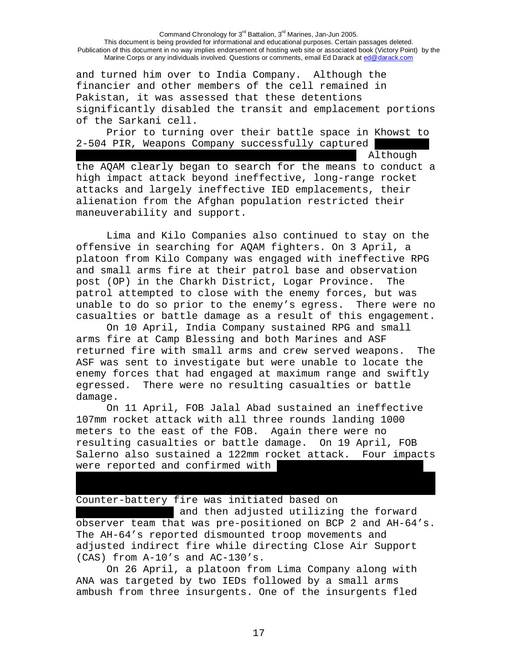and turned him over to India Company. Although the financier and other members of the cell remained in Pakistan, it was assessed that these detentions significantly disabled the transit and emplacement portions of the Sarkani cell.

Prior to turning over their battle space in Khowst to 2-504 PIR, Weapons Company successfully captured

…………………………………………………………………………………………………………………... Although

the AQAM clearly began to search for the means to conduct a high impact attack beyond ineffective, long-range rocket attacks and largely ineffective IED emplacements, their alienation from the Afghan population restricted their maneuverability and support.

Lima and Kilo Companies also continued to stay on the offensive in searching for AQAM fighters. On 3 April, a platoon from Kilo Company was engaged with ineffective RPG and small arms fire at their patrol base and observation post (OP) in the Charkh District, Logar Province. The patrol attempted to close with the enemy forces, but was unable to do so prior to the enemy's egress. There were no casualties or battle damage as a result of this engagement.

On 10 April, India Company sustained RPG and small arms fire at Camp Blessing and both Marines and ASF returned fire with small arms and crew served weapons. The ASF was sent to investigate but were unable to locate the enemy forces that had engaged at maximum range and swiftly egressed. There were no resulting casualties or battle damage.

On 11 April, FOB Jalal Abad sustained an ineffective 107mm rocket attack with all three rounds landing 1000 meters to the east of the FOB. Again there were no resulting casualties or battle damage. On 19 April, FOB Salerno also sustained a 122mm rocket attack. Four impacts were reported and confirmed with

Counter-battery fire was initiated based on

and then adjusted utilizing the forward observer team that was pre-positioned on BCP 2 and AH-64's. The AH-64's reported dismounted troop movements and adjusted indirect fire while directing Close Air Support (CAS) from A-10's and AC-130's.

………………………………………………………………………………………………………………………………………………………..

On 26 April, a platoon from Lima Company along with ANA was targeted by two IEDs followed by a small arms ambush from three insurgents. One of the insurgents fled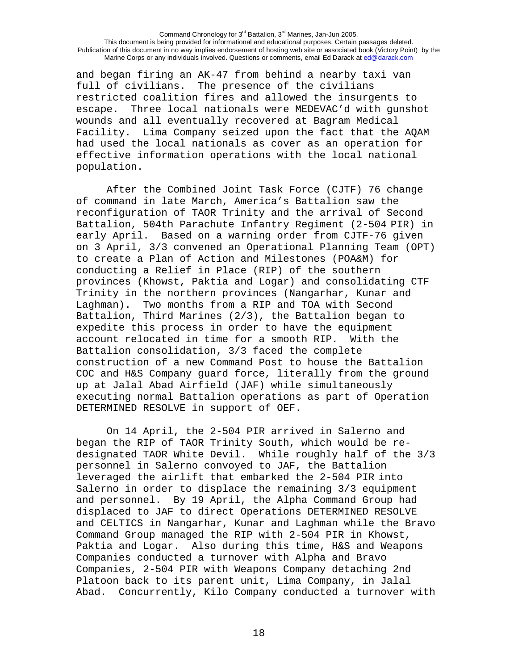and began firing an AK-47 from behind a nearby taxi van full of civilians. The presence of the civilians restricted coalition fires and allowed the insurgents to escape. Three local nationals were MEDEVAC'd with gunshot wounds and all eventually recovered at Bagram Medical Facility. Lima Company seized upon the fact that the AQAM had used the local nationals as cover as an operation for effective information operations with the local national population.

After the Combined Joint Task Force (CJTF) 76 change of command in late March, America's Battalion saw the reconfiguration of TAOR Trinity and the arrival of Second Battalion, 504th Parachute Infantry Regiment (2-504 PIR) in early April. Based on a warning order from CJTF-76 given on 3 April, 3/3 convened an Operational Planning Team (OPT) to create a Plan of Action and Milestones (POA&M) for conducting a Relief in Place (RIP) of the southern provinces (Khowst, Paktia and Logar) and consolidating CTF Trinity in the northern provinces (Nangarhar, Kunar and Laghman). Two months from a RIP and TOA with Second Battalion, Third Marines (2/3), the Battalion began to expedite this process in order to have the equipment account relocated in time for a smooth RIP. With the Battalion consolidation, 3/3 faced the complete construction of a new Command Post to house the Battalion COC and H&S Company guard force, literally from the ground up at Jalal Abad Airfield (JAF) while simultaneously executing normal Battalion operations as part of Operation DETERMINED RESOLVE in support of OEF.

On 14 April, the 2-504 PIR arrived in Salerno and began the RIP of TAOR Trinity South, which would be redesignated TAOR White Devil. While roughly half of the 3/3 personnel in Salerno convoyed to JAF, the Battalion leveraged the airlift that embarked the 2-504 PIR into Salerno in order to displace the remaining 3/3 equipment and personnel. By 19 April, the Alpha Command Group had displaced to JAF to direct Operations DETERMINED RESOLVE and CELTICS in Nangarhar, Kunar and Laghman while the Bravo Command Group managed the RIP with 2-504 PIR in Khowst, Paktia and Logar. Also during this time, H&S and Weapons Companies conducted a turnover with Alpha and Bravo Companies, 2-504 PIR with Weapons Company detaching 2nd Platoon back to its parent unit, Lima Company, in Jalal Abad. Concurrently, Kilo Company conducted a turnover with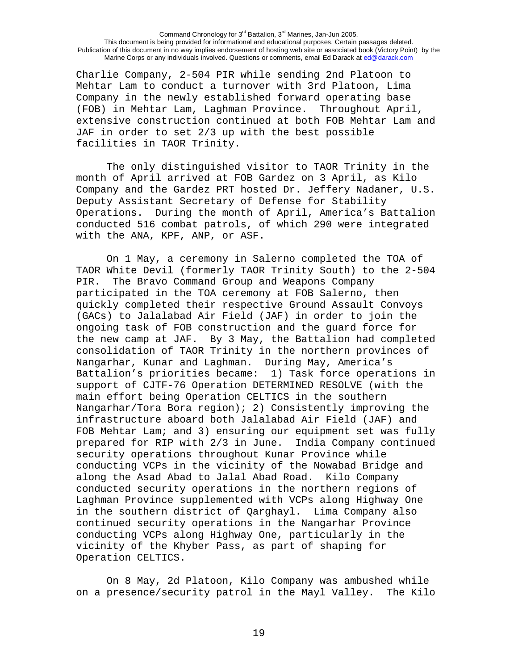Charlie Company, 2-504 PIR while sending 2nd Platoon to Mehtar Lam to conduct a turnover with 3rd Platoon, Lima Company in the newly established forward operating base (FOB) in Mehtar Lam, Laghman Province. Throughout April, extensive construction continued at both FOB Mehtar Lam and JAF in order to set 2/3 up with the best possible facilities in TAOR Trinity.

The only distinguished visitor to TAOR Trinity in the month of April arrived at FOB Gardez on 3 April, as Kilo Company and the Gardez PRT hosted Dr. Jeffery Nadaner, U.S. Deputy Assistant Secretary of Defense for Stability Operations. During the month of April, America's Battalion conducted 516 combat patrols, of which 290 were integrated with the ANA, KPF, ANP, or ASF.

On 1 May, a ceremony in Salerno completed the TOA of TAOR White Devil (formerly TAOR Trinity South) to the 2-504 PIR. The Bravo Command Group and Weapons Company participated in the TOA ceremony at FOB Salerno, then quickly completed their respective Ground Assault Convoys (GACs) to Jalalabad Air Field (JAF) in order to join the ongoing task of FOB construction and the guard force for the new camp at JAF. By 3 May, the Battalion had completed consolidation of TAOR Trinity in the northern provinces of Nangarhar, Kunar and Laghman. During May, America's Battalion's priorities became: 1) Task force operations in support of CJTF-76 Operation DETERMINED RESOLVE (with the main effort being Operation CELTICS in the southern Nangarhar/Tora Bora region); 2) Consistently improving the infrastructure aboard both Jalalabad Air Field (JAF) and FOB Mehtar Lam; and 3) ensuring our equipment set was fully prepared for RIP with 2/3 in June. India Company continued security operations throughout Kunar Province while conducting VCPs in the vicinity of the Nowabad Bridge and along the Asad Abad to Jalal Abad Road. Kilo Company conducted security operations in the northern regions of Laghman Province supplemented with VCPs along Highway One in the southern district of Qarghayl. Lima Company also continued security operations in the Nangarhar Province conducting VCPs along Highway One, particularly in the vicinity of the Khyber Pass, as part of shaping for Operation CELTICS.

On 8 May, 2d Platoon, Kilo Company was ambushed while on a presence/security patrol in the Mayl Valley. The Kilo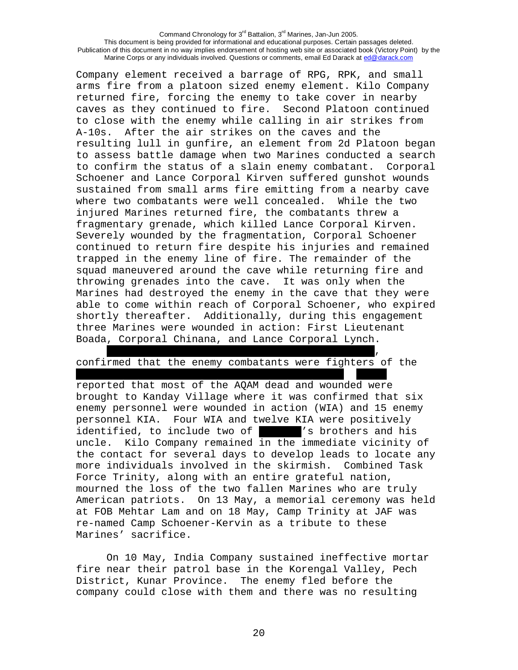Company element received a barrage of RPG, RPK, and small arms fire from a platoon sized enemy element. Kilo Company returned fire, forcing the enemy to take cover in nearby caves as they continued to fire. Second Platoon continued to close with the enemy while calling in air strikes from A-10s. After the air strikes on the caves and the resulting lull in gunfire, an element from 2d Platoon began to assess battle damage when two Marines conducted a search to confirm the status of a slain enemy combatant. Corporal Schoener and Lance Corporal Kirven suffered gunshot wounds sustained from small arms fire emitting from a nearby cave where two combatants were well concealed. While the two injured Marines returned fire, the combatants threw a fragmentary grenade, which killed Lance Corporal Kirven. Severely wounded by the fragmentation, Corporal Schoener continued to return fire despite his injuries and remained trapped in the enemy line of fire. The remainder of the squad maneuvered around the cave while returning fire and throwing grenades into the cave. It was only when the Marines had destroyed the enemy in the cave that they were able to come within reach of Corporal Schoener, who expired shortly thereafter. Additionally, during this engagement three Marines were wounded in action: First Lieutenant Boada, Corporal Chinana, and Lance Corporal Lynch.

. The contract of the contract of the contract of the contract of the contract of the contract of the contract of the contract of the contract of the contract of the contract of the contract of the contract of the contrac confirmed that the enemy combatants were fighters of the

……………………………………………………………………………………………………………….. ………..

reported that most of the AQAM dead and wounded were brought to Kanday Village where it was confirmed that six enemy personnel were wounded in action (WIA) and 15 enemy personnel KIA. Four WIA and twelve KIA were positively identified, to include two of " " I brothers and his uncle. Kilo Company remained in the immediate vicinity of the contact for several days to develop leads to locate any more individuals involved in the skirmish. Combined Task Force Trinity, along with an entire grateful nation, mourned the loss of the two fallen Marines who are truly American patriots. On 13 May, a memorial ceremony was held at FOB Mehtar Lam and on 18 May, Camp Trinity at JAF was re-named Camp Schoener-Kervin as a tribute to these Marines' sacrifice.

On 10 May, India Company sustained ineffective mortar fire near their patrol base in the Korengal Valley, Pech District, Kunar Province. The enemy fled before the company could close with them and there was no resulting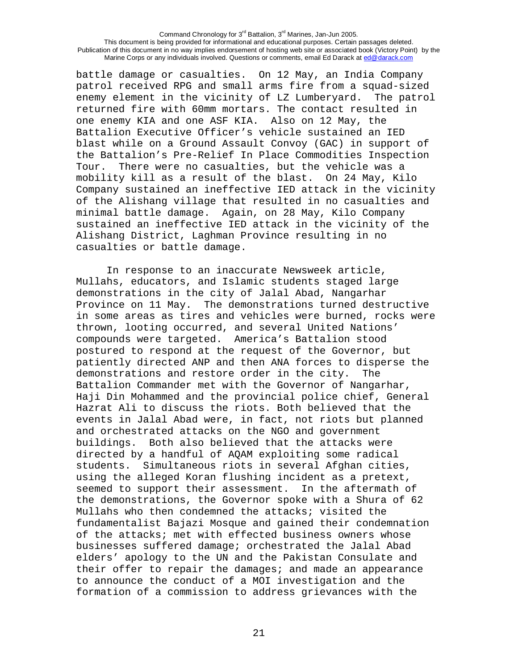battle damage or casualties. On 12 May, an India Company patrol received RPG and small arms fire from a squad-sized enemy element in the vicinity of LZ Lumberyard. The patrol returned fire with 60mm mortars. The contact resulted in one enemy KIA and one ASF KIA. Also on 12 May, the Battalion Executive Officer's vehicle sustained an IED blast while on a Ground Assault Convoy (GAC) in support of the Battalion's Pre-Relief In Place Commodities Inspection Tour. There were no casualties, but the vehicle was a mobility kill as a result of the blast. On 24 May, Kilo Company sustained an ineffective IED attack in the vicinity of the Alishang village that resulted in no casualties and minimal battle damage. Again, on 28 May, Kilo Company sustained an ineffective IED attack in the vicinity of the Alishang District, Laghman Province resulting in no casualties or battle damage.

 In response to an inaccurate Newsweek article, Mullahs, educators, and Islamic students staged large demonstrations in the city of Jalal Abad, Nangarhar Province on 11 May. The demonstrations turned destructive in some areas as tires and vehicles were burned, rocks were thrown, looting occurred, and several United Nations' compounds were targeted. America's Battalion stood postured to respond at the request of the Governor, but patiently directed ANP and then ANA forces to disperse the demonstrations and restore order in the city. The Battalion Commander met with the Governor of Nangarhar, Haji Din Mohammed and the provincial police chief, General Hazrat Ali to discuss the riots. Both believed that the events in Jalal Abad were, in fact, not riots but planned and orchestrated attacks on the NGO and government buildings. Both also believed that the attacks were directed by a handful of AQAM exploiting some radical students. Simultaneous riots in several Afghan cities, using the alleged Koran flushing incident as a pretext, seemed to support their assessment. In the aftermath of the demonstrations, the Governor spoke with a Shura of 62 Mullahs who then condemned the attacks; visited the fundamentalist Bajazi Mosque and gained their condemnation of the attacks; met with effected business owners whose businesses suffered damage; orchestrated the Jalal Abad elders' apology to the UN and the Pakistan Consulate and their offer to repair the damages; and made an appearance to announce the conduct of a MOI investigation and the formation of a commission to address grievances with the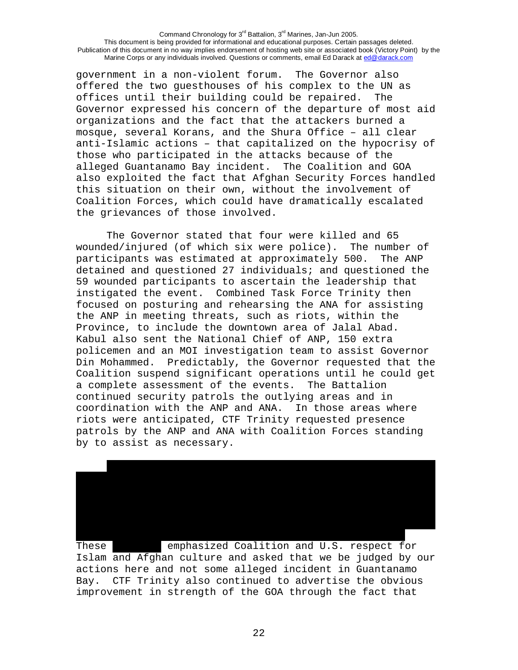government in a non-violent forum. The Governor also offered the two guesthouses of his complex to the UN as offices until their building could be repaired. The Governor expressed his concern of the departure of most aid organizations and the fact that the attackers burned a mosque, several Korans, and the Shura Office – all clear anti-Islamic actions – that capitalized on the hypocrisy of those who participated in the attacks because of the alleged Guantanamo Bay incident. The Coalition and GOA also exploited the fact that Afghan Security Forces handled this situation on their own, without the involvement of Coalition Forces, which could have dramatically escalated the grievances of those involved.

The Governor stated that four were killed and 65 wounded/injured (of which six were police). The number of participants was estimated at approximately 500. The ANP detained and questioned 27 individuals; and questioned the 59 wounded participants to ascertain the leadership that instigated the event. Combined Task Force Trinity then focused on posturing and rehearsing the ANA for assisting the ANP in meeting threats, such as riots, within the Province, to include the downtown area of Jalal Abad. Kabul also sent the National Chief of ANP, 150 extra policemen and an MOI investigation team to assist Governor Din Mohammed. Predictably, the Governor requested that the Coalition suspend significant operations until he could get a complete assessment of the events. The Battalion continued security patrols the outlying areas and in coordination with the ANP and ANA. In those areas where riots were anticipated, CTF Trinity requested presence patrols by the ANP and ANA with Coalition Forces standing by to assist as necessary.



These **Example Emphasized Coalition and U.S. respect for** Islam and Afghan culture and asked that we be judged by our actions here and not some alleged incident in Guantanamo Bay. CTF Trinity also continued to advertise the obvious improvement in strength of the GOA through the fact that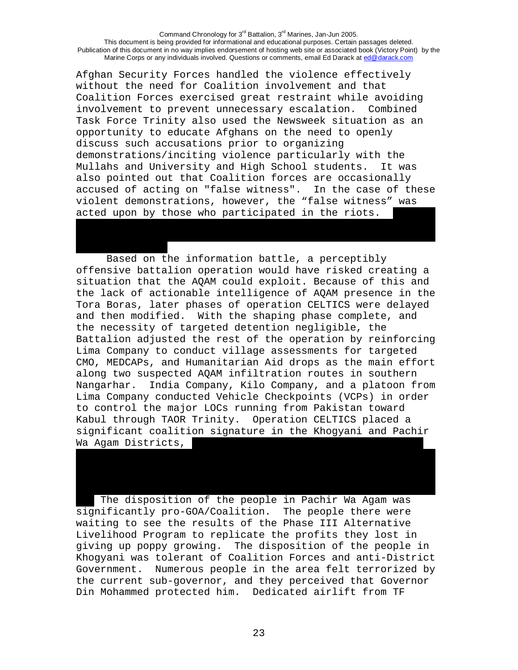Afghan Security Forces handled the violence effectively without the need for Coalition involvement and that Coalition Forces exercised great restraint while avoiding involvement to prevent unnecessary escalation. Combined Task Force Trinity also used the Newsweek situation as an opportunity to educate Afghans on the need to openly discuss such accusations prior to organizing demonstrations/inciting violence particularly with the Mullahs and University and High School students. It was also pointed out that Coalition forces are occasionally accused of acting on "false witness". In the case of these violent demonstrations, however, the "false witness" was acted upon by those who participated in the riots.

…………………………………..

Based on the information battle, a perceptibly offensive battalion operation would have risked creating a situation that the AQAM could exploit. Because of this and the lack of actionable intelligence of AQAM presence in the Tora Boras, later phases of operation CELTICS were delayed and then modified. With the shaping phase complete, and the necessity of targeted detention negligible, the Battalion adjusted the rest of the operation by reinforcing Lima Company to conduct village assessments for targeted CMO, MEDCAPs, and Humanitarian Aid drops as the main effort along two suspected AQAM infiltration routes in southern Nangarhar. India Company, Kilo Company, and a platoon from Lima Company conducted Vehicle Checkpoints (VCPs) in order to control the major LOCs running from Pakistan toward Kabul through TAOR Trinity. Operation CELTICS placed a significant coalition signature in the Khogyani and Pachir Wa Agam Districts,

The disposition of the people in Pachir Wa Agam was significantly pro-GOA/Coalition. The people there were waiting to see the results of the Phase III Alternative Livelihood Program to replicate the profits they lost in giving up poppy growing. The disposition of the people in Khogyani was tolerant of Coalition Forces and anti-District Government. Numerous people in the area felt terrorized by the current sub-governor, and they perceived that Governor Din Mohammed protected him. Dedicated airlift from TF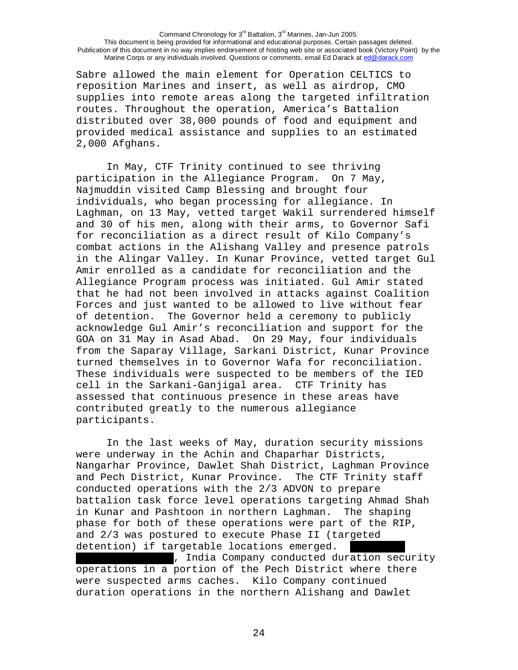Sabre allowed the main element for Operation CELTICS to reposition Marines and insert, as well as airdrop, CMO supplies into remote areas along the targeted infiltration routes. Throughout the operation, America's Battalion distributed over 38,000 pounds of food and equipment and provided medical assistance and supplies to an estimated 2,000 Afghans.

In May, CTF Trinity continued to see thriving participation in the Allegiance Program. On 7 May, Najmuddin visited Camp Blessing and brought four individuals, who began processing for allegiance. In Laghman, on 13 May, vetted target Wakil surrendered himself and 30 of his men, along with their arms, to Governor Safi for reconciliation as a direct result of Kilo Company's combat actions in the Alishang Valley and presence patrols in the Alingar Valley. In Kunar Province, vetted target Gul Amir enrolled as a candidate for reconciliation and the Allegiance Program process was initiated. Gul Amir stated that he had not been involved in attacks against Coalition Forces and just wanted to be allowed to live without fear of detention. The Governor held a ceremony to publicly acknowledge Gul Amir's reconciliation and support for the GOA on 31 May in Asad Abad. On 29 May, four individuals from the Saparay Village, Sarkani District, Kunar Province turned themselves in to Governor Wafa for reconciliation. These individuals were suspected to be members of the IED cell in the Sarkani-Ganjigal area. CTF Trinity has assessed that continuous presence in these areas have contributed greatly to the numerous allegiance participants.

 In the last weeks of May, duration security missions were underway in the Achin and Chaparhar Districts, Nangarhar Province, Dawlet Shah District, Laghman Province and Pech District, Kunar Province. The CTF Trinity staff conducted operations with the 2/3 ADVON to prepare battalion task force level operations targeting Ahmad Shah in Kunar and Pashtoon in northern Laghman. The shaping phase for both of these operations were part of the RIP, and 2/3 was postured to execute Phase II (targeted detention) if targetable locations emerged.

. India Company conducted duration security operations in a portion of the Pech District where there were suspected arms caches. Kilo Company continued duration operations in the northern Alishang and Dawlet

24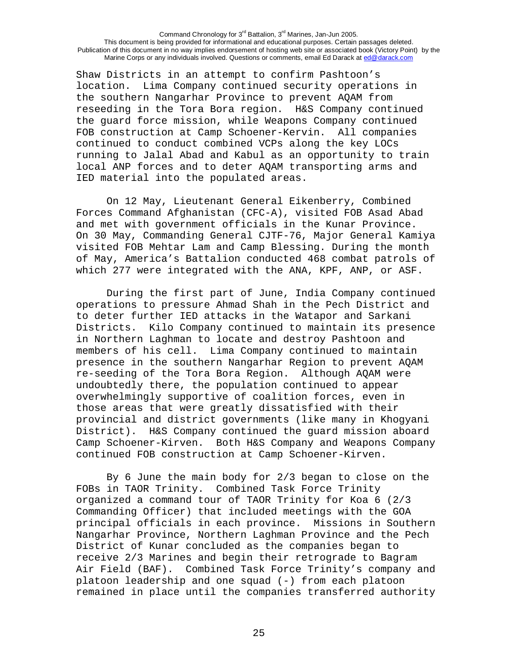Shaw Districts in an attempt to confirm Pashtoon's location. Lima Company continued security operations in the southern Nangarhar Province to prevent AQAM from reseeding in the Tora Bora region. H&S Company continued the guard force mission, while Weapons Company continued FOB construction at Camp Schoener-Kervin. All companies continued to conduct combined VCPs along the key LOCs running to Jalal Abad and Kabul as an opportunity to train local ANP forces and to deter AQAM transporting arms and IED material into the populated areas.

 On 12 May, Lieutenant General Eikenberry, Combined Forces Command Afghanistan (CFC-A), visited FOB Asad Abad and met with government officials in the Kunar Province. On 30 May, Commanding General CJTF-76, Major General Kamiya visited FOB Mehtar Lam and Camp Blessing. During the month of May, America's Battalion conducted 468 combat patrols of which 277 were integrated with the ANA, KPF, ANP, or ASF.

During the first part of June, India Company continued operations to pressure Ahmad Shah in the Pech District and to deter further IED attacks in the Watapor and Sarkani Districts. Kilo Company continued to maintain its presence in Northern Laghman to locate and destroy Pashtoon and members of his cell. Lima Company continued to maintain presence in the southern Nangarhar Region to prevent AQAM re-seeding of the Tora Bora Region. Although AQAM were undoubtedly there, the population continued to appear overwhelmingly supportive of coalition forces, even in those areas that were greatly dissatisfied with their provincial and district governments (like many in Khogyani District). H&S Company continued the guard mission aboard Camp Schoener-Kirven. Both H&S Company and Weapons Company continued FOB construction at Camp Schoener-Kirven.

 By 6 June the main body for 2/3 began to close on the FOBs in TAOR Trinity. Combined Task Force Trinity organized a command tour of TAOR Trinity for Koa 6 (2/3 Commanding Officer) that included meetings with the GOA principal officials in each province. Missions in Southern Nangarhar Province, Northern Laghman Province and the Pech District of Kunar concluded as the companies began to receive 2/3 Marines and begin their retrograde to Bagram Air Field (BAF). Combined Task Force Trinity's company and platoon leadership and one squad (-) from each platoon remained in place until the companies transferred authority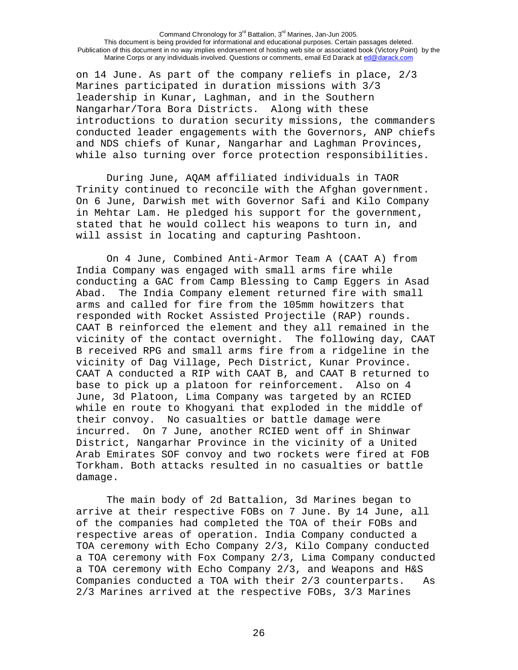on 14 June. As part of the company reliefs in place, 2/3 Marines participated in duration missions with 3/3 leadership in Kunar, Laghman, and in the Southern Nangarhar/Tora Bora Districts. Along with these introductions to duration security missions, the commanders conducted leader engagements with the Governors, ANP chiefs and NDS chiefs of Kunar, Nangarhar and Laghman Provinces, while also turning over force protection responsibilities.

 During June, AQAM affiliated individuals in TAOR Trinity continued to reconcile with the Afghan government. On 6 June, Darwish met with Governor Safi and Kilo Company in Mehtar Lam. He pledged his support for the government, stated that he would collect his weapons to turn in, and will assist in locating and capturing Pashtoon.

On 4 June, Combined Anti-Armor Team A (CAAT A) from India Company was engaged with small arms fire while conducting a GAC from Camp Blessing to Camp Eggers in Asad Abad. The India Company element returned fire with small arms and called for fire from the 105mm howitzers that responded with Rocket Assisted Projectile (RAP) rounds. CAAT B reinforced the element and they all remained in the vicinity of the contact overnight. The following day, CAAT B received RPG and small arms fire from a ridgeline in the vicinity of Dag Village, Pech District, Kunar Province. CAAT A conducted a RIP with CAAT B, and CAAT B returned to base to pick up a platoon for reinforcement. Also on 4 June, 3d Platoon, Lima Company was targeted by an RCIED while en route to Khogyani that exploded in the middle of their convoy. No casualties or battle damage were incurred. On 7 June, another RCIED went off in Shinwar District, Nangarhar Province in the vicinity of a United Arab Emirates SOF convoy and two rockets were fired at FOB Torkham. Both attacks resulted in no casualties or battle damage.

The main body of 2d Battalion, 3d Marines began to arrive at their respective FOBs on 7 June. By 14 June, all of the companies had completed the TOA of their FOBs and respective areas of operation. India Company conducted a TOA ceremony with Echo Company 2/3, Kilo Company conducted a TOA ceremony with Fox Company 2/3, Lima Company conducted a TOA ceremony with Echo Company 2/3, and Weapons and H&S Companies conducted a TOA with their 2/3 counterparts. As 2/3 Marines arrived at the respective FOBs, 3/3 Marines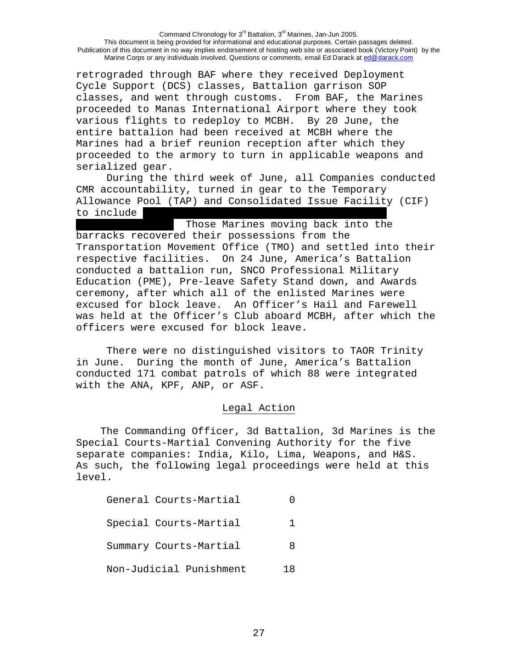retrograded through BAF where they received Deployment Cycle Support (DCS) classes, Battalion garrison SOP classes, and went through customs. From BAF, the Marines proceeded to Manas International Airport where they took various flights to redeploy to MCBH. By 20 June, the entire battalion had been received at MCBH where the Marines had a brief reunion reception after which they proceeded to the armory to turn in applicable weapons and serialized gear.

During the third week of June, all Companies conducted CMR accountability, turned in gear to the Temporary Allowance Pool (TAP) and Consolidated Issue Facility (CIF) to include  $\blacksquare$ 

Those Marines moving back into the barracks recovered their possessions from the Transportation Movement Office (TMO) and settled into their respective facilities. On 24 June, America's Battalion conducted a battalion run, SNCO Professional Military Education (PME), Pre-leave Safety Stand down, and Awards ceremony, after which all of the enlisted Marines were excused for block leave. An Officer's Hail and Farewell was held at the Officer's Club aboard MCBH, after which the officers were excused for block leave.

There were no distinguished visitors to TAOR Trinity in June. During the month of June, America's Battalion conducted 171 combat patrols of which 88 were integrated with the ANA, KPF, ANP, or ASF.

## Legal Action

 The Commanding Officer, 3d Battalion, 3d Marines is the Special Courts-Martial Convening Authority for the five separate companies: India, Kilo, Lima, Weapons, and H&S. As such, the following legal proceedings were held at this level.

|                         | General Courts-Martial |     |  |
|-------------------------|------------------------|-----|--|
|                         | Special Courts-Martial | Т.  |  |
|                         | Summary Courts-Martial | 8   |  |
| Non-Judicial Punishment |                        | 1 R |  |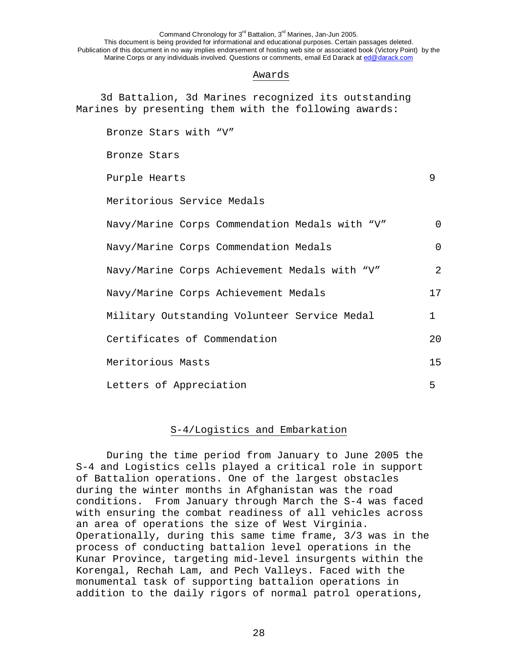### Awards

 3d Battalion, 3d Marines recognized its outstanding Marines by presenting them with the following awards:

Bronze Stars with "V" Bronze Stars Purple Hearts 9 Meritorious Service Medals Navy/Marine Corps Commendation Medals with "V" 0 Navy/Marine Corps Commendation Medals 0 Navy/Marine Corps Achievement Medals with "V" 2 Navy/Marine Corps Achievement Medals 17 Military Outstanding Volunteer Service Medal 1 Certificates of Commendation 20 Meritorious Masts 15 Letters of Appreciation 5

# S-4/Logistics and Embarkation

During the time period from January to June 2005 the S-4 and Logistics cells played a critical role in support of Battalion operations. One of the largest obstacles during the winter months in Afghanistan was the road conditions. From January through March the S-4 was faced with ensuring the combat readiness of all vehicles across an area of operations the size of West Virginia. Operationally, during this same time frame, 3/3 was in the process of conducting battalion level operations in the Kunar Province, targeting mid-level insurgents within the Korengal, Rechah Lam, and Pech Valleys. Faced with the monumental task of supporting battalion operations in addition to the daily rigors of normal patrol operations,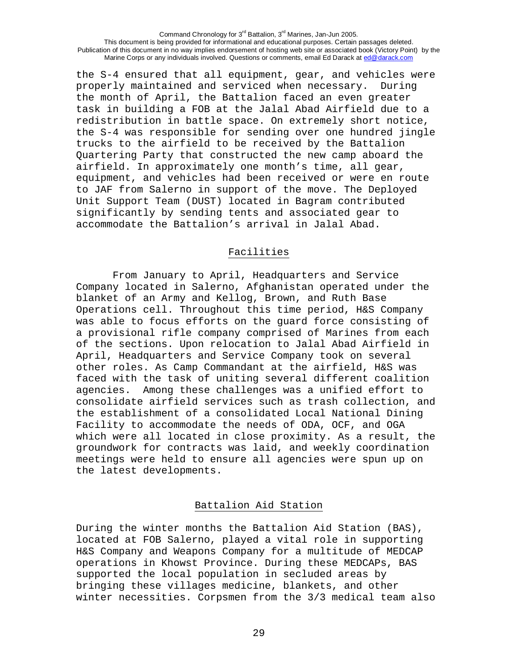the S-4 ensured that all equipment, gear, and vehicles were properly maintained and serviced when necessary. During the month of April, the Battalion faced an even greater task in building a FOB at the Jalal Abad Airfield due to a redistribution in battle space. On extremely short notice, the S-4 was responsible for sending over one hundred jingle trucks to the airfield to be received by the Battalion Quartering Party that constructed the new camp aboard the airfield. In approximately one month's time, all gear, equipment, and vehicles had been received or were en route to JAF from Salerno in support of the move. The Deployed Unit Support Team (DUST) located in Bagram contributed significantly by sending tents and associated gear to accommodate the Battalion's arrival in Jalal Abad.

## Facilities

 From January to April, Headquarters and Service Company located in Salerno, Afghanistan operated under the blanket of an Army and Kellog, Brown, and Ruth Base Operations cell. Throughout this time period, H&S Company was able to focus efforts on the guard force consisting of a provisional rifle company comprised of Marines from each of the sections. Upon relocation to Jalal Abad Airfield in April, Headquarters and Service Company took on several other roles. As Camp Commandant at the airfield, H&S was faced with the task of uniting several different coalition agencies. Among these challenges was a unified effort to consolidate airfield services such as trash collection, and the establishment of a consolidated Local National Dining Facility to accommodate the needs of ODA, OCF, and OGA which were all located in close proximity. As a result, the groundwork for contracts was laid, and weekly coordination meetings were held to ensure all agencies were spun up on the latest developments.

## Battalion Aid Station

During the winter months the Battalion Aid Station (BAS), located at FOB Salerno, played a vital role in supporting H&S Company and Weapons Company for a multitude of MEDCAP operations in Khowst Province. During these MEDCAPs, BAS supported the local population in secluded areas by bringing these villages medicine, blankets, and other winter necessities. Corpsmen from the 3/3 medical team also